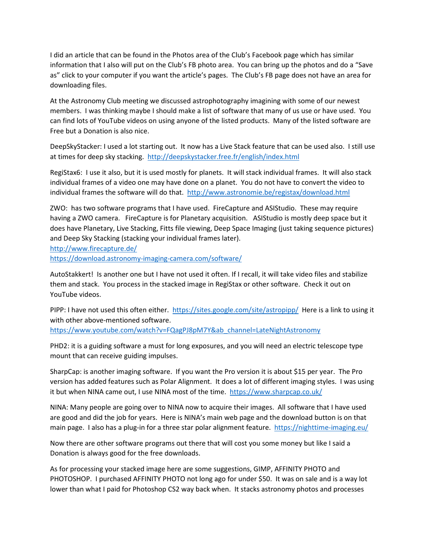I did an article that can be found in the Photos area of the Club's Facebook page which has similar information that I also will put on the Club's FB photo area. You can bring up the photos and do a "Save as" click to your computer if you want the article's pages. The Club's FB page does not have an area for downloading files.

At the Astronomy Club meeting we discussed astrophotography imagining with some of our newest members. I was thinking maybe I should make a list of software that many of us use or have used. You can find lots of YouTube videos on using anyone of the listed products. Many of the listed software are Free but a Donation is also nice.

DeepSkyStacker: I used a lot starting out. It now has a Live Stack feature that can be used also. I still use at times for deep sky stacking. http://deepskystacker.free.fr/english/index.html

RegiStax6: I use it also, but it is used mostly for planets. It will stack individual frames. It will also stack individual frames of a video one may have done on a planet. You do not have to convert the video to individual frames the software will do that. http://www.astronomie.be/registax/download.html

ZWO: has two software programs that I have used. FireCapture and ASIStudio. These may require having a ZWO camera. FireCapture is for Planetary acquisition. ASIStudio is mostly deep space but it does have Planetary, Live Stacking, Fitts file viewing, Deep Space Imaging (just taking sequence pictures) and Deep Sky Stacking (stacking your individual frames later). http://www.firecapture.de/

https://download.astronomy-imaging-camera.com/software/

AutoStakkert! Is another one but I have not used it often. If I recall, it will take video files and stabilize them and stack. You process in the stacked image in RegiStax or other software. Check it out on YouTube videos.

PIPP: I have not used this often either. https://sites.google.com/site/astropipp/ Here is a link to using it with other above-mentioned software.

https://www.youtube.com/watch?v=FQagPJ8pM7Y&ab\_channel=LateNightAstronomy

PHD2: it is a guiding software a must for long exposures, and you will need an electric telescope type mount that can receive guiding impulses.

SharpCap: is another imaging software. If you want the Pro version it is about \$15 per year. The Pro version has added features such as Polar Alignment. It does a lot of different imaging styles. I was using it but when NINA came out, I use NINA most of the time. https://www.sharpcap.co.uk/

NINA: Many people are going over to NINA now to acquire their images. All software that I have used are good and did the job for years. Here is NINA's main web page and the download button is on that main page. I also has a plug-in for a three star polar alignment feature. https://nighttime-imaging.eu/

Now there are other software programs out there that will cost you some money but like I said a Donation is always good for the free downloads.

As for processing your stacked image here are some suggestions, GIMP, AFFINITY PHOTO and PHOTOSHOP. I purchased AFFINITY PHOTO not long ago for under \$50. It was on sale and is a way lot lower than what I paid for Photoshop CS2 way back when. It stacks astronomy photos and processes